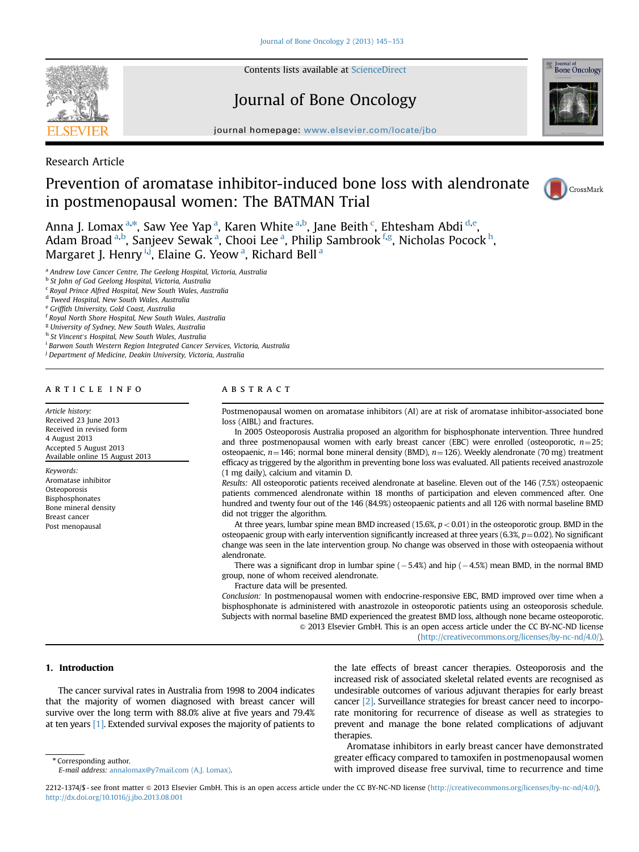

Contents lists available at [ScienceDirect](www.sciencedirect.com/science/journal/22121374)

# Journal of Bone Oncology



journal homepage: <www.elsevier.com/locate/jbo>

Research Article

# Prevention of aromatase inhibitor-induced bone loss with alendronate in postmenopausal women: The BATMAN Trial



Anna J. Lomax <sup>a,\*</sup>, Saw Yee Yap <sup>a</sup>, Karen White <sup>a,b</sup>, Jane Beith <sup>c</sup>, Ehtesham Abdi <sup>d,e</sup>, Adam Broad <sup>a,b</sup>, Sanjeev Sewak <sup>a</sup>, Chooi Lee <sup>a</sup>, Philip Sambrook <sup>f,g</sup>, Nicholas Pocock <sup>h</sup>, Margaret J. Henry ij, Elaine G. Yeow<sup>a</sup>, Richard Bell<sup>a</sup>

- <sup>a</sup> Andrew Love Cancer Centre, The Geelong Hospital, Victoria, Australia
- <sup>b</sup> St John of God Geelong Hospital, Victoria, Australia
- <sup>c</sup> Royal Prince Alfred Hospital, New South Wales, Australia
- <sup>d</sup> Tweed Hospital, New South Wales, Australia
- <sup>e</sup> Griffith University, Gold Coast, Australia
- <sup>f</sup> Royal North Shore Hospital, New South Wales, Australia
- <sup>g</sup> University of Sydney, New South Wales, Australia
- h St Vincent's Hospital, New South Wales, Australia
- <sup>i</sup> Barwon South Western Region Integrated Cancer Services, Victoria, Australia
- <sup>i</sup> Department of Medicine, Deakin University, Victoria, Australia

### article info

Article history: Received 23 June 2013 Received in revised form 4 August 2013 Accepted 5 August 2013 Available online 15 August 2013

Keywords: Aromatase inhibitor **Osteoporosis** Bisphosphonates Bone mineral density Breast cancer Post menopausal

# **ABSTRACT**

Postmenopausal women on aromatase inhibitors (AI) are at risk of aromatase inhibitor-associated bone loss (AIBL) and fractures.

In 2005 Osteoporosis Australia proposed an algorithm for bisphosphonate intervention. Three hundred and three postmenopausal women with early breast cancer (EBC) were enrolled (osteoporotic,  $n=25$ ; osteopaenic,  $n=146$ ; normal bone mineral density (BMD),  $n=126$ ). Weekly alendronate (70 mg) treatment efficacy as triggered by the algorithm in preventing bone loss was evaluated. All patients received anastrozole (1 mg daily), calcium and vitamin D.

Results: All osteoporotic patients received alendronate at baseline. Eleven out of the 146 (7.5%) osteopaenic patients commenced alendronate within 18 months of participation and eleven commenced after. One hundred and twenty four out of the 146 (84.9%) osteopaenic patients and all 126 with normal baseline BMD did not trigger the algorithm.

At three years, lumbar spine mean BMD increased (15.6%,  $p < 0.01$ ) in the osteoporotic group. BMD in the osteopaenic group with early intervention significantly increased at three years (6.3%,  $p=0.02$ ). No significant change was seen in the late intervention group. No change was observed in those with osteopaenia without alendronate.

There was a significant drop in lumbar spine  $(-5.4%)$  and hip  $(-4.5%)$  mean BMD, in the normal BMD group, none of whom received alendronate.

Fracture data will be presented.

Conclusion: In postmenopausal women with endocrine-responsive EBC, BMD improved over time when a bisphosphonate is administered with anastrozole in osteoporotic patients using an osteoporosis schedule. Subjects with normal baseline BMD experienced the greatest BMD loss, although none became osteoporotic.  $\circ$  2013 Elsevier GmbH. This is an open access article under the CC BY-NC-ND license

(http://creativecommons.org/licenses/by-nc-nd/4.0/).

# 1. Introduction

The cancer survival rates in Australia from 1998 to 2004 indicates that the majority of women diagnosed with breast cancer will survive over the long term with 88.0% alive at five years and 79.4% at ten years [\[1\].](#page-8-0) Extended survival exposes the majority of patients to the late effects of breast cancer therapies. Osteoporosis and the increased risk of associated skeletal related events are recognised as undesirable outcomes of various adjuvant therapies for early breast cancer [\[2\]](#page-8-0). Surveillance strategies for breast cancer need to incorporate monitoring for recurrence of disease as well as strategies to prevent and manage the bone related complications of adjuvant therapies.

\* Corresponding author.

Aromatase inhibitors in early breast cancer have demonstrated greater efficacy compared to tamoxifen in postmenopausal women with improved disease free survival, time to recurrence and time

E-mail address: [annalomax@y7mail.com \(A.J. Lomax\).](mailto:annalomax@y7mail.com)

<sup>2212-1374/\$ -</sup> see front matter @ 2013 Elsevier GmbH. This is an open access article under the CC BY-NC-ND license (http://creativecommons.org/licenses/by-nc-nd/4.0/). <http://dx.doi.org/10.1016/j.jbo.2013.08.001>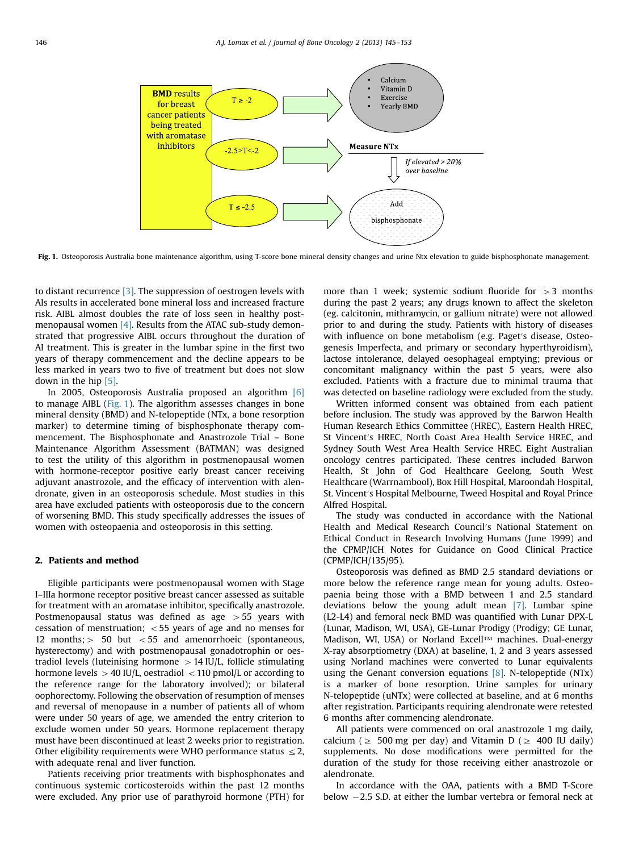

Fig. 1. Osteoporosis Australia bone maintenance algorithm, using T-score bone mineral density changes and urine Ntx elevation to guide bisphosphonate management.

to distant recurrence [\[3\].](#page-8-0) The suppression of oestrogen levels with AIs results in accelerated bone mineral loss and increased fracture risk. AIBL almost doubles the rate of loss seen in healthy postmenopausal women [\[4\].](#page-8-0) Results from the ATAC sub-study demonstrated that progressive AIBL occurs throughout the duration of AI treatment. This is greater in the lumbar spine in the first two years of therapy commencement and the decline appears to be less marked in years two to five of treatment but does not slow down in the hip [\[5\]](#page-8-0).

In 2005, Osteoporosis Australia proposed an algorithm [\[6\]](#page-8-0) to manage AIBL (Fig. 1). The algorithm assesses changes in bone mineral density (BMD) and N-telopeptide (NTx, a bone resorption marker) to determine timing of bisphosphonate therapy commencement. The Bisphosphonate and Anastrozole Trial – Bone Maintenance Algorithm Assessment (BATMAN) was designed to test the utility of this algorithm in postmenopausal women with hormone-receptor positive early breast cancer receiving adjuvant anastrozole, and the efficacy of intervention with alendronate, given in an osteoporosis schedule. Most studies in this area have excluded patients with osteoporosis due to the concern of worsening BMD. This study specifically addresses the issues of women with osteopaenia and osteoporosis in this setting.

### 2. Patients and method

Eligible participants were postmenopausal women with Stage I–IIIa hormone receptor positive breast cancer assessed as suitable for treatment with an aromatase inhibitor, specifically anastrozole. Postmenopausal status was defined as age  $>55$  years with cessation of menstruation;  $<$  55 years of age and no menses for 12 months;  $>$  50 but  $<$  55 and amenorrhoeic (spontaneous, hysterectomy) and with postmenopausal gonadotrophin or oestradiol levels (luteinising hormone  $> 14$  IU/L, follicle stimulating hormone levels  $> 40$  IU/L, oestradiol  $< 110$  pmol/L or according to the reference range for the laboratory involved); or bilateral oophorectomy. Following the observation of resumption of menses and reversal of menopause in a number of patients all of whom were under 50 years of age, we amended the entry criterion to exclude women under 50 years. Hormone replacement therapy must have been discontinued at least 2 weeks prior to registration. Other eligibility requirements were WHO performance status  $\leq 2$ , with adequate renal and liver function.

Patients receiving prior treatments with bisphosphonates and continuous systemic corticosteroids within the past 12 months were excluded. Any prior use of parathyroid hormone (PTH) for

more than 1 week; systemic sodium fluoride for  $>3$  months during the past 2 years; any drugs known to affect the skeleton (eg. calcitonin, mithramycin, or gallium nitrate) were not allowed prior to and during the study. Patients with history of diseases with influence on bone metabolism (e.g. Paget′s disease, Osteogenesis Imperfecta, and primary or secondary hyperthyroidism), lactose intolerance, delayed oesophageal emptying; previous or concomitant malignancy within the past 5 years, were also excluded. Patients with a fracture due to minimal trauma that was detected on baseline radiology were excluded from the study.

Written informed consent was obtained from each patient before inclusion. The study was approved by the Barwon Health Human Research Ethics Committee (HREC), Eastern Health HREC, St Vincent′s HREC, North Coast Area Health Service HREC, and Sydney South West Area Health Service HREC. Eight Australian oncology centres participated. These centres included Barwon Health, St John of God Healthcare Geelong, South West Healthcare (Warrnambool), Box Hill Hospital, Maroondah Hospital, St. Vincent′s Hospital Melbourne, Tweed Hospital and Royal Prince Alfred Hospital.

The study was conducted in accordance with the National Health and Medical Research Council′s National Statement on Ethical Conduct in Research Involving Humans (June 1999) and the CPMP/ICH Notes for Guidance on Good Clinical Practice (CPMP/ICH/135/95).

Osteoporosis was defined as BMD 2.5 standard deviations or more below the reference range mean for young adults. Osteopaenia being those with a BMD between 1 and 2.5 standard deviations below the young adult mean [\[7\].](#page-8-0) Lumbar spine (L2-L4) and femoral neck BMD was quantified with Lunar DPX-L (Lunar, Madison, WI, USA), GE-Lunar Prodigy (Prodigy; GE Lunar, Madison, WI, USA) or Norland Excell™ machines. Dual-energy X-ray absorptiometry (DXA) at baseline, 1, 2 and 3 years assessed using Norland machines were converted to Lunar equivalents using the Genant conversion equations  $[8]$ . N-telopeptide (NTx) is a marker of bone resorption. Urine samples for urinary N-telopeptide (uNTx) were collected at baseline, and at 6 months after registration. Participants requiring alendronate were retested 6 months after commencing alendronate.

All patients were commenced on oral anastrozole 1 mg daily, calcium ( $\geq 500$  mg per day) and Vitamin D ( $\geq 400$  IU daily) supplements. No dose modifications were permitted for the duration of the study for those receiving either anastrozole or alendronate.

In accordance with the OAA, patients with a BMD T-Score below -2.5 S.D. at either the lumbar vertebra or femoral neck at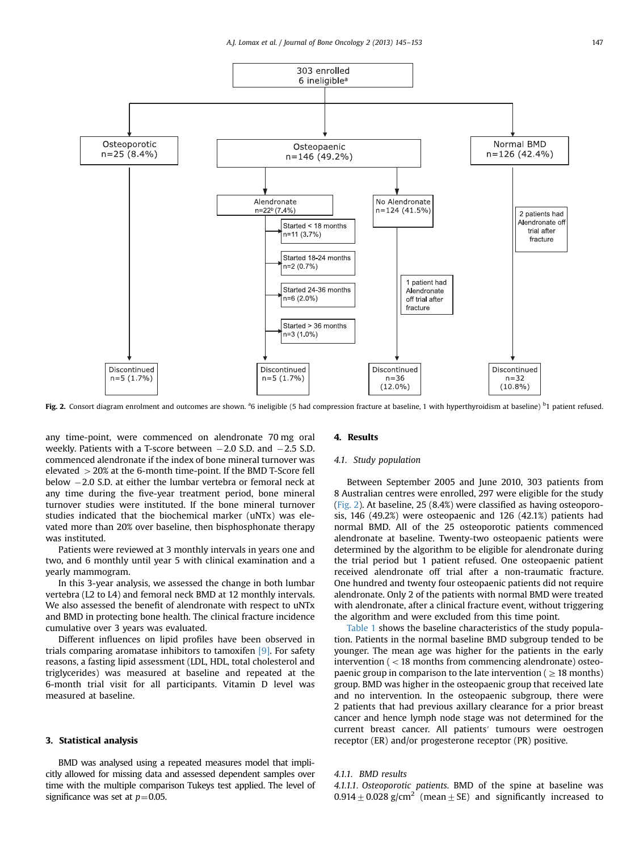

Fig. 2. Consort diagram enrolment and outcomes are shown. <sup>a</sup>6 ineligible (5 had compression fracture at baseline, 1 with hyperthyroidism at baseline) <sup>b</sup>1 patient refused.

any time-point, were commenced on alendronate 70 mg oral weekly. Patients with a T-score between  $-2.0$  S.D. and  $-2.5$  S.D. commenced alendronate if the index of bone mineral turnover was elevated  $>20\%$  at the 6-month time-point. If the BMD T-Score fell below -2.0 S.D. at either the lumbar vertebra or femoral neck at any time during the five-year treatment period, bone mineral turnover studies were instituted. If the bone mineral turnover studies indicated that the biochemical marker (uNTx) was elevated more than 20% over baseline, then bisphosphonate therapy was instituted.

Patients were reviewed at 3 monthly intervals in years one and two, and 6 monthly until year 5 with clinical examination and a yearly mammogram.

In this 3-year analysis, we assessed the change in both lumbar vertebra (L2 to L4) and femoral neck BMD at 12 monthly intervals. We also assessed the benefit of alendronate with respect to uNTx and BMD in protecting bone health. The clinical fracture incidence cumulative over 3 years was evaluated.

Different influences on lipid profiles have been observed in trials comparing aromatase inhibitors to tamoxifen [\[9\].](#page-8-0) For safety reasons, a fasting lipid assessment (LDL, HDL, total cholesterol and triglycerides) was measured at baseline and repeated at the 6-month trial visit for all participants. Vitamin D level was measured at baseline.

### 3. Statistical analysis

BMD was analysed using a repeated measures model that implicitly allowed for missing data and assessed dependent samples over time with the multiple comparison Tukeys test applied. The level of significance was set at  $p=0.05$ .

### 4. Results

# 4.1. Study population

Between September 2005 and June 2010, 303 patients from 8 Australian centres were enrolled, 297 were eligible for the study (Fig. 2). At baseline, 25 (8.4%) were classified as having osteoporosis, 146 (49.2%) were osteopaenic and 126 (42.1%) patients had normal BMD. All of the 25 osteoporotic patients commenced alendronate at baseline. Twenty-two osteopaenic patients were determined by the algorithm to be eligible for alendronate during the trial period but 1 patient refused. One osteopaenic patient received alendronate off trial after a non-traumatic fracture. One hundred and twenty four osteopaenic patients did not require alendronate. Only 2 of the patients with normal BMD were treated with alendronate, after a clinical fracture event, without triggering the algorithm and were excluded from this time point.

[Table 1](#page-3-0) shows the baseline characteristics of the study population. Patients in the normal baseline BMD subgroup tended to be younger. The mean age was higher for the patients in the early intervention ( $<$  18 months from commencing alendronate) osteopaenic group in comparison to the late intervention ( $\geq 18$  months) group. BMD was higher in the osteopaenic group that received late and no intervention. In the osteopaenic subgroup, there were 2 patients that had previous axillary clearance for a prior breast cancer and hence lymph node stage was not determined for the current breast cancer. All patients′ tumours were oestrogen receptor (ER) and/or progesterone receptor (PR) positive.

## 4.1.1. BMD results

4.1.1.1. Osteoporotic patients. BMD of the spine at baseline was 0.914  $\pm$  0.028 g/cm<sup>2</sup> (mean  $\pm$  SE) and significantly increased to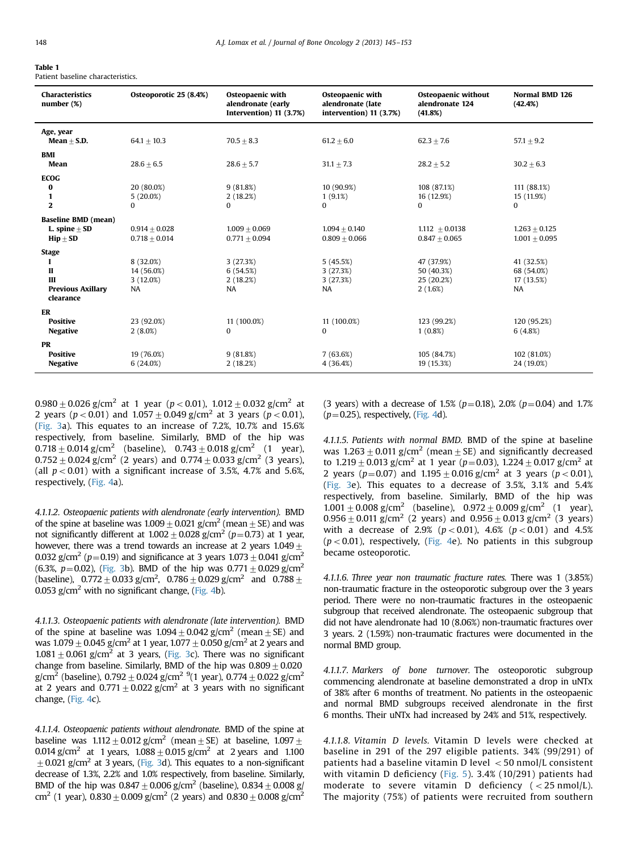# <span id="page-3-0"></span>Table 1

| Patient baseline characteristics. |
|-----------------------------------|
|                                   |

| <b>Characteristics</b><br>number (%)                                            | Osteoporotic 25 (8.4%)                           | <b>Osteopaenic with</b><br>alendronate (early<br>Intervention) 11 (3.7%) | <b>Osteopaenic with</b><br>alendronate (late<br>intervention) 11 (3.7%) | Osteopaenic without<br>alendronate 124<br>(41.8%) | <b>Normal BMD 126</b><br>(42.4%)                    |
|---------------------------------------------------------------------------------|--------------------------------------------------|--------------------------------------------------------------------------|-------------------------------------------------------------------------|---------------------------------------------------|-----------------------------------------------------|
| Age, year<br>$Mean + S.D.$                                                      | $64.1 + 10.3$                                    | $70.5 + 8.3$                                                             | $61.2 + 6.0$                                                            | $62.3 + 7.6$                                      | $57.1 + 9.2$                                        |
| BMI<br>Mean                                                                     | $28.6 + 6.5$                                     | $28.6 \pm 5.7$                                                           | $31.1 \pm 7.3$                                                          | $28.2 \pm 5.2$                                    | $30.2 + 6.3$                                        |
| <b>ECOG</b><br>0<br>$\mathbf{1}$<br>$\mathbf{2}$                                | 20 (80.0%)<br>$5(20.0\%)$<br>0                   | 9(81.8%)<br>2(18.2%)<br>$\Omega$                                         | 10 (90.9%)<br>1(9.1%)<br>$\Omega$                                       | 108 (87.1%)<br>16 (12.9%)<br>$\Omega$             | 111 (88.1%)<br>15 (11.9%)<br>$\mathbf{0}$           |
| <b>Baseline BMD (mean)</b><br>$L.$ spine $+$ SD<br>$\text{Hip} + \text{SD}$     | $0.914 + 0.028$<br>$0.718 + 0.014$               | $1.009 + 0.069$<br>$0.771 + 0.094$                                       | $1.094 + 0.140$<br>$0.809 + 0.066$                                      | $1.112 + 0.0138$<br>$0.847 + 0.065$               | $1.263 + 0.125$<br>$1.001 + 0.095$                  |
| <b>Stage</b><br>ш<br>$\mathbf{I}$<br>Ш<br><b>Previous Axillary</b><br>clearance | 8 (32.0%)<br>14 (56.0%)<br>3(12.0%)<br><b>NA</b> | 3(27.3%)<br>6(54.5%)<br>2(18.2%)<br>NA                                   | 5(45.5%)<br>3(27.3%)<br>3(27.3%)<br>NA                                  | 47 (37.9%)<br>50 (40.3%)<br>25 (20.2%)<br>2(1.6%) | 41 (32.5%)<br>68 (54.0%)<br>17 (13.5%)<br><b>NA</b> |
| ER<br><b>Positive</b><br><b>Negative</b>                                        | 23 (92.0%)<br>2(8.0%)                            | 11 (100.0%)<br>$\Omega$                                                  | 11 (100.0%)<br>$\bf{0}$                                                 | 123 (99.2%)<br>$1(0.8\%)$                         | 120 (95.2%)<br>6(4.8%)                              |
| <b>PR</b><br><b>Positive</b><br><b>Negative</b>                                 | 19 (76.0%)<br>6(24.0%)                           | 9(81.8%)<br>2(18.2%)                                                     | 7(63.6%)<br>4 (36.4%)                                                   | 105 (84.7%)<br>19 (15.3%)                         | 102 (81.0%)<br>24 (19.0%)                           |

 $0.980 \pm 0.026$  g/cm<sup>2</sup> at 1 year (p < 0.01),  $1.012 \pm 0.032$  g/cm<sup>2</sup> at 2 years ( $p < 0.01$ ) and  $1.057 \pm 0.049$  g/cm<sup>2</sup> at 3 years ( $p < 0.01$ ), ([Fig. 3a](#page-4-0)). This equates to an increase of 7.2%, 10.7% and 15.6% respectively, from baseline. Similarly, BMD of the hip was  $0.718 \pm 0.014$  g/cm<sup>2</sup> (baseline),  $0.743 \pm 0.018$  g/cm<sup>2</sup> (1 year),  $0.752 \pm 0.024$  g/cm<sup>2</sup> (2 years) and  $0.774 \pm 0.033$  g/cm<sup>2</sup> (3 years), (all  $p < 0.01$ ) with a significant increase of 3.5%, 4.7% and 5.6%, respectively, [\(Fig. 4a](#page-5-0)).

4.1.1.2. Osteopaenic patients with alendronate (early intervention). BMD of the spine at baseline was  $1.009 \pm 0.021$  g/cm<sup>2</sup> (mean  $\pm$  SE) and was not significantly different at  $1.002 + 0.028$  g/cm<sup>2</sup> (p=0.73) at 1 year, however, there was a trend towards an increase at 2 years  $1.049 +$ 0.032 g/cm<sup>2</sup> (p=0.19) and significance at 3 years  $1.073 + 0.041$  g/cm<sup>2</sup> (6.3%,  $p=0.02$ ), ([Fig. 3](#page-4-0)b). BMD of the hip was  $0.771+0.029$  g/cm<sup>2</sup> (baseline),  $\,$  0.772  $\pm$  0.033 g/cm<sup>2</sup>,  $\,$  0.786  $\pm$  0.029 g/cm<sup>2</sup> and  $\,$  0.788  $\pm$ 0.053  $g/cm<sup>2</sup>$  with no significant change, ([Fig. 4b](#page-5-0)).

4.1.1.3. Osteopaenic patients with alendronate (late intervention). BMD of the spine at baseline was  $1.094 \pm 0.042$  g/cm<sup>2</sup> (mean  $\pm$  SE) and was  $1.079 \pm 0.045$  g/cm<sup>2</sup> at 1 year,  $1.077 \pm 0.050$  g/cm<sup>2</sup> at 2 years and  $1.081 \pm 0.061$  g/cm<sup>2</sup> at 3 years, [\(Fig. 3](#page-4-0)c). There was no significant change from baseline. Similarly, BMD of the hip was  $0.809 \pm 0.020$ g/cm<sup>2</sup> (baseline),  $0.792 \pm 0.024$  g/cm<sup>2</sup> <sup>9</sup>(1 year),  $0.774 \pm 0.022$  g/cm<sup>2</sup> at 2 years and  $0.771 \pm 0.022$  g/cm<sup>2</sup> at 3 years with no significant change, [\(Fig. 4c](#page-5-0)).

4.1.1.4. Osteopaenic patients without alendronate. BMD of the spine at baseline was  $1.112 + 0.012$  g/cm<sup>2</sup> (mean + SE) at baseline,  $1.097 +$ 0.014 g/cm<sup>2</sup> at 1 years,  $1.088 + 0.015$  g/cm<sup>2</sup> at 2 years and 1.100  $+0.021$  g/cm<sup>2</sup> at 3 years, [\(Fig. 3d](#page-4-0)). This equates to a non-significant decrease of 1.3%, 2.2% and 1.0% respectively, from baseline. Similarly, BMD of the hip was  $0.847 \pm 0.006$  g/cm<sup>2</sup> (baseline),  $0.834 \pm 0.008$  g/ cm<sup>2</sup> (1 year),  $0.830 \pm 0.009$  g/cm<sup>2</sup> (2 years) and  $0.830 \pm 0.008$  g/cm<sup>2</sup>

(3 years) with a decrease of 1.5% ( $p=0.18$ ), 2.0% ( $p=0.04$ ) and 1.7%  $(p=0.25)$ , respectively, [\(Fig. 4d](#page-5-0)).

4.1.1.5. Patients with normal BMD. BMD of the spine at baseline was  $1.263 \pm 0.011$  g/cm<sup>2</sup> (mean  $\pm$  SE) and significantly decreased to  $1.219 \pm 0.013$  g/cm<sup>2</sup> at 1 year (p=0.03),  $1.224 \pm 0.017$  g/cm<sup>2</sup> at 2 years ( $p=0.07$ ) and  $1.195\pm0.016$  g/cm<sup>2</sup> at 3 years ( $p<0.01$ ), ([Fig. 3e](#page-4-0)). This equates to a decrease of 3.5%, 3.1% and 5.4% respectively, from baseline. Similarly, BMD of the hip was  $1.001 \pm 0.008$  g/cm<sup>2</sup> (baseline),  $0.972 \pm 0.009$  g/cm<sup>2</sup> (1 year),  $0.956 \pm 0.011$  g/cm<sup>2</sup> (2 years) and  $0.956 \pm 0.013$  g/cm<sup>2</sup> (3 years) with a decrease of 2.9% ( $p < 0.01$ ), 4.6% ( $p < 0.01$ ) and 4.5%  $(p < 0.01)$ , respectively, [\(Fig. 4e](#page-5-0)). No patients in this subgroup became osteoporotic.

4.1.1.6. Three year non traumatic fracture rates. There was 1 (3.85%) non-traumatic fracture in the osteoporotic subgroup over the 3 years period. There were no non-traumatic fractures in the osteopaenic subgroup that received alendronate. The osteopaenic subgroup that did not have alendronate had 10 (8.06%) non-traumatic fractures over 3 years. 2 (1.59%) non-traumatic fractures were documented in the normal BMD group.

4.1.1.7. Markers of bone turnover. The osteoporotic subgroup commencing alendronate at baseline demonstrated a drop in uNTx of 38% after 6 months of treatment. No patients in the osteopaenic and normal BMD subgroups received alendronate in the first 6 months. Their uNTx had increased by 24% and 51%, respectively.

4.1.1.8. Vitamin D levels. Vitamin D levels were checked at baseline in 291 of the 297 eligible patients. 34% (99/291) of patients had a baseline vitamin D level  $<$  50 nmol/L consistent with vitamin D deficiency ([Fig. 5](#page-6-0)). 3.4% (10/291) patients had moderate to severe vitamin D deficiency  $(<25 \text{ nmol/L}).$ The majority (75%) of patients were recruited from southern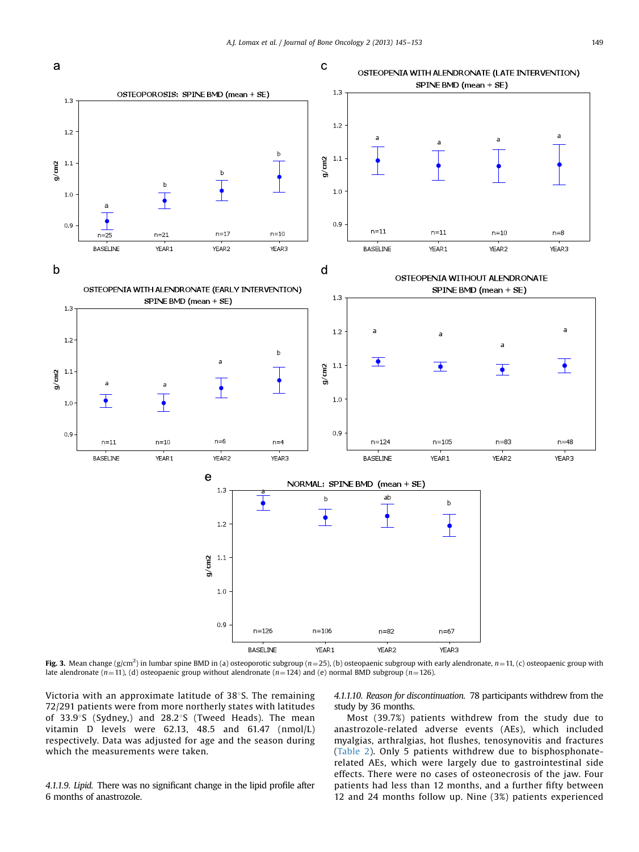<span id="page-4-0"></span>

**Fig. 3.** Mean change (g/cm<sup>2</sup>) in lumbar spine BMD in (a) osteoporotic subgroup (n=25), (b) osteopaenic subgroup with early alendronate, n=11, (c) osteopaenic group with late alendronate (n=11), (d) osteopaenic group without alendronate (n=124) and (e) normal BMD subgroup (n=126).

Victoria with an approximate latitude of  $38^{\circ}$ S. The remaining 72/291 patients were from more northerly states with latitudes of 33.9°S (Sydney,) and 28.2°S (Tweed Heads). The mean vitamin D levels were 62.13, 48.5 and 61.47 (nmol/L) respectively. Data was adjusted for age and the season during which the measurements were taken.

4.1.1.9. Lipid. There was no significant change in the lipid profile after 6 months of anastrozole.

4.1.1.10. Reason for discontinuation. 78 participants withdrew from the study by 36 months.

Most (39.7%) patients withdrew from the study due to anastrozole-related adverse events (AEs), which included myalgias, arthralgias, hot flushes, tenosynovitis and fractures ([Table 2\)](#page-6-0). Only 5 patients withdrew due to bisphosphonaterelated AEs, which were largely due to gastrointestinal side effects. There were no cases of osteonecrosis of the jaw. Four patients had less than 12 months, and a further fifty between 12 and 24 months follow up. Nine (3%) patients experienced

a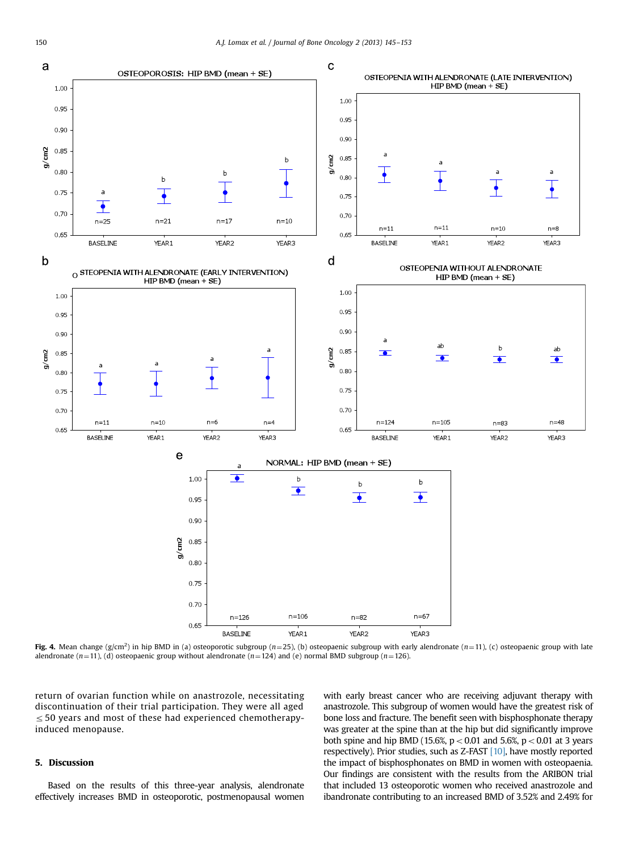<span id="page-5-0"></span>

**Fig. 4.** Mean change (g/cm<sup>2</sup>) in hip BMD in (a) osteoporotic subgroup ( $n=25$ ), (b) osteopaenic subgroup with early alendronate ( $n=11$ ), (c) osteopaenic group with late alendronate (n=11), (d) osteopaenic group without alendronate (n=124) and (e) normal BMD subgroup (n=126).

return of ovarian function while on anastrozole, necessitating discontinuation of their trial participation. They were all aged  $\leq$  50 years and most of these had experienced chemotherapyinduced menopause.

# 5. Discussion

Based on the results of this three-year analysis, alendronate effectively increases BMD in osteoporotic, postmenopausal women with early breast cancer who are receiving adjuvant therapy with anastrozole. This subgroup of women would have the greatest risk of bone loss and fracture. The benefit seen with bisphosphonate therapy was greater at the spine than at the hip but did significantly improve both spine and hip BMD (15.6%,  $p < 0.01$  and 5.6%,  $p < 0.01$  at 3 years respectively). Prior studies, such as Z-FAST [\[10\]](#page-8-0), have mostly reported the impact of bisphosphonates on BMD in women with osteopaenia. Our findings are consistent with the results from the ARIBON trial that included 13 osteoporotic women who received anastrozole and ibandronate contributing to an increased BMD of 3.52% and 2.49% for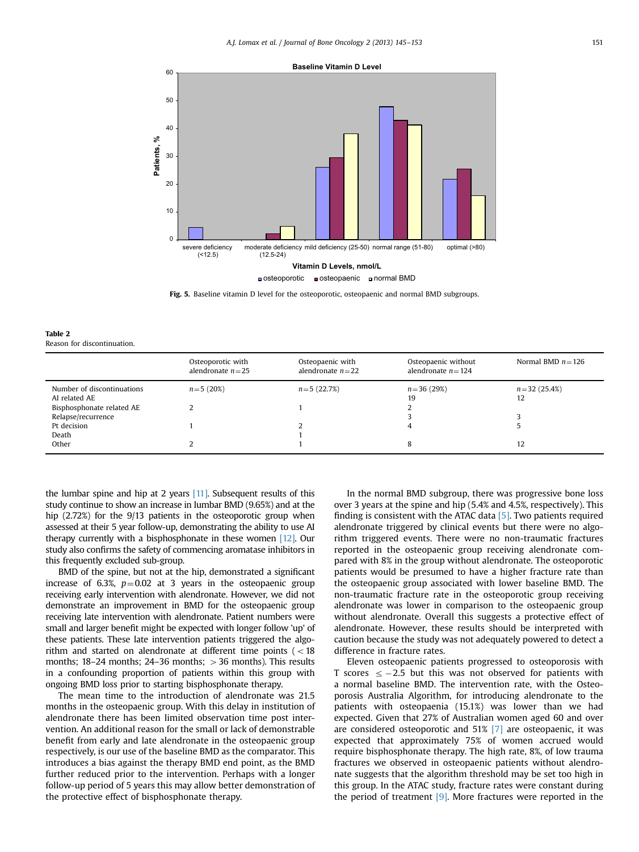<span id="page-6-0"></span>

Fig. 5. Baseline vitamin D level for the osteoporotic, osteopaenic and normal BMD subgroups.

| Table 2 |                             |
|---------|-----------------------------|
|         | Reason for discontinuation. |

|                                             | Osteoporotic with<br>alendronate $n=25$ | Osteopaenic with<br>alendronate $n=22$ | Osteopaenic without<br>alendronate $n = 124$ | Normal BMD $n = 126$   |
|---------------------------------------------|-----------------------------------------|----------------------------------------|----------------------------------------------|------------------------|
| Number of discontinuations<br>AI related AE | $n = 5(20\%)$                           | $n = 5(22.7%)$                         | $n = 36(29%)$<br>19                          | $n = 32(25.4\%)$<br>12 |
| Bisphosphonate related AE                   |                                         |                                        |                                              |                        |
| Relapse/recurrence                          |                                         |                                        |                                              |                        |
| Pt decision                                 |                                         |                                        | 4                                            |                        |
| Death                                       |                                         |                                        |                                              |                        |
| Other                                       |                                         |                                        | 8                                            | 12                     |
|                                             |                                         |                                        |                                              |                        |

the lumbar spine and hip at 2 years [\[11\]](#page-8-0). Subsequent results of this study continue to show an increase in lumbar BMD (9.65%) and at the hip (2.72%) for the 9/13 patients in the osteoporotic group when assessed at their 5 year follow-up, demonstrating the ability to use AI therapy currently with a bisphosphonate in these women [\[12\].](#page-8-0) Our study also confirms the safety of commencing aromatase inhibitors in this frequently excluded sub-group.

BMD of the spine, but not at the hip, demonstrated a significant increase of 6.3%,  $p=0.02$  at 3 years in the osteopaenic group receiving early intervention with alendronate. However, we did not demonstrate an improvement in BMD for the osteopaenic group receiving late intervention with alendronate. Patient numbers were small and larger benefit might be expected with longer follow 'up' of these patients. These late intervention patients triggered the algorithm and started on alendronate at different time points  $(< 18$ months;  $18-24$  months;  $24-36$  months;  $>36$  months). This results in a confounding proportion of patients within this group with ongoing BMD loss prior to starting bisphosphonate therapy.

The mean time to the introduction of alendronate was 21.5 months in the osteopaenic group. With this delay in institution of alendronate there has been limited observation time post intervention. An additional reason for the small or lack of demonstrable benefit from early and late alendronate in the osteopaenic group respectively, is our use of the baseline BMD as the comparator. This introduces a bias against the therapy BMD end point, as the BMD further reduced prior to the intervention. Perhaps with a longer follow-up period of 5 years this may allow better demonstration of the protective effect of bisphosphonate therapy.

In the normal BMD subgroup, there was progressive bone loss over 3 years at the spine and hip (5.4% and 4.5%, respectively). This finding is consistent with the ATAC data [\[5\]](#page-8-0). Two patients required alendronate triggered by clinical events but there were no algorithm triggered events. There were no non-traumatic fractures reported in the osteopaenic group receiving alendronate compared with 8% in the group without alendronate. The osteoporotic patients would be presumed to have a higher fracture rate than the osteopaenic group associated with lower baseline BMD. The non-traumatic fracture rate in the osteoporotic group receiving alendronate was lower in comparison to the osteopaenic group without alendronate. Overall this suggests a protective effect of alendronate. However, these results should be interpreted with caution because the study was not adequately powered to detect a difference in fracture rates.

Eleven osteopaenic patients progressed to osteoporosis with T scores  $\leq -2.5$  but this was not observed for patients with a normal baseline BMD. The intervention rate, with the Osteoporosis Australia Algorithm, for introducing alendronate to the patients with osteopaenia (15.1%) was lower than we had expected. Given that 27% of Australian women aged 60 and over are considered osteoporotic and 51% [\[7\]](#page-8-0) are osteopaenic, it was expected that approximately 75% of women accrued would require bisphosphonate therapy. The high rate, 8%, of low trauma fractures we observed in osteopaenic patients without alendronate suggests that the algorithm threshold may be set too high in this group. In the ATAC study, fracture rates were constant during the period of treatment [\[9\]](#page-8-0). More fractures were reported in the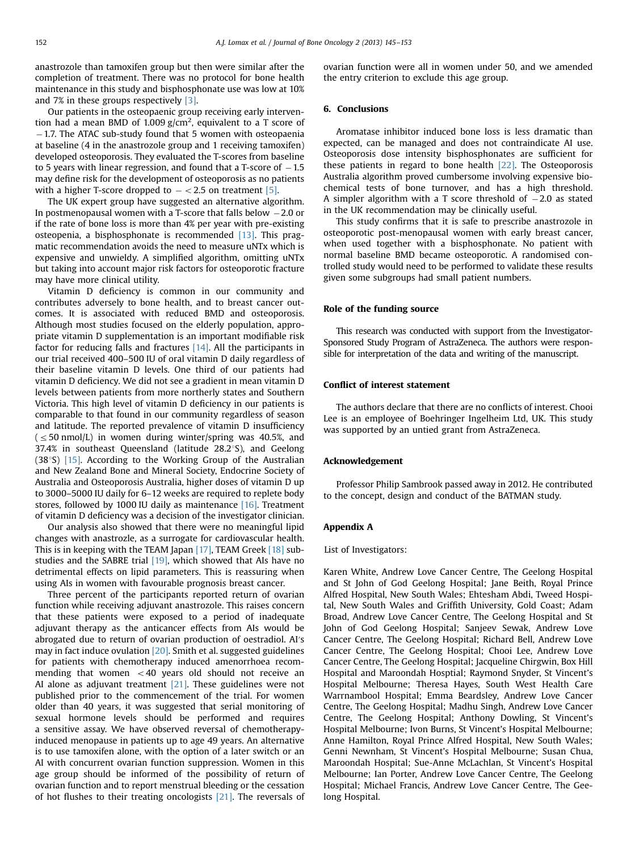anastrozole than tamoxifen group but then were similar after the completion of treatment. There was no protocol for bone health maintenance in this study and bisphosphonate use was low at 10% and 7% in these groups respectively [\[3\].](#page-8-0)

Our patients in the osteopaenic group receiving early intervention had a mean BMD of 1.009  $g/cm^2$ , equivalent to a T score of -1.7. The ATAC sub-study found that 5 women with osteopaenia at baseline (4 in the anastrozole group and 1 receiving tamoxifen) developed osteoporosis. They evaluated the T-scores from baseline to 5 years with linear regression, and found that a T-score of  $-1.5$ may define risk for the development of osteoporosis as no patients with a higher T-score dropped to  $- < 2.5$  on treatment [\[5\]](#page-8-0).

The UK expert group have suggested an alternative algorithm. In postmenopausal women with a T-score that falls below -2.0 or if the rate of bone loss is more than 4% per year with pre-existing osteopenia, a bisphosphonate is recommended  $[13]$ . This pragmatic recommendation avoids the need to measure uNTx which is expensive and unwieldy. A simplified algorithm, omitting uNTx but taking into account major risk factors for osteoporotic fracture may have more clinical utility.

Vitamin D deficiency is common in our community and contributes adversely to bone health, and to breast cancer outcomes. It is associated with reduced BMD and osteoporosis. Although most studies focused on the elderly population, appropriate vitamin D supplementation is an important modifiable risk factor for reducing falls and fractures [\[14\]](#page-8-0). All the participants in our trial received 400–500 IU of oral vitamin D daily regardless of their baseline vitamin D levels. One third of our patients had vitamin D deficiency. We did not see a gradient in mean vitamin D levels between patients from more northerly states and Southern Victoria. This high level of vitamin D deficiency in our patients is comparable to that found in our community regardless of season and latitude. The reported prevalence of vitamin D insufficiency  $\epsilon \leq 50$  nmol/L) in women during winter/spring was 40.5%, and 37.4% in southeast Queensland (latitude  $28.2^{\circ}$ S), and Geelong (38°S)  $[15]$ . According to the Working Group of the Australian and New Zealand Bone and Mineral Society, Endocrine Society of Australia and Osteoporosis Australia, higher doses of vitamin D up to 3000–5000 IU daily for 6–12 weeks are required to replete body stores, followed by 1000 IU daily as maintenance [\[16\].](#page-8-0) Treatment of vitamin D deficiency was a decision of the investigator clinician.

Our analysis also showed that there were no meaningful lipid changes with anastrozle, as a surrogate for cardiovascular health. This is in keeping with the TEAM Japan [\[17\]](#page-8-0), TEAM Greek [\[18\]](#page-8-0) substudies and the SABRE trial [\[19\]](#page-8-0), which showed that AIs have no detrimental effects on lipid parameters. This is reassuring when using AIs in women with favourable prognosis breast cancer.

Three percent of the participants reported return of ovarian function while receiving adjuvant anastrozole. This raises concern that these patients were exposed to a period of inadequate adjuvant therapy as the anticancer effects from AIs would be abrogated due to return of ovarian production of oestradiol. AI′s may in fact induce ovulation [\[20\].](#page-8-0) Smith et al. suggested guidelines for patients with chemotherapy induced amenorrhoea recommending that women  $<$  40 years old should not receive an AI alone as adjuvant treatment [\[21\]](#page-8-0). These guidelines were not published prior to the commencement of the trial. For women older than 40 years, it was suggested that serial monitoring of sexual hormone levels should be performed and requires a sensitive assay. We have observed reversal of chemotherapyinduced menopause in patients up to age 49 years. An alternative is to use tamoxifen alone, with the option of a later switch or an AI with concurrent ovarian function suppression. Women in this age group should be informed of the possibility of return of ovarian function and to report menstrual bleeding or the cessation of hot flushes to their treating oncologists [\[21\].](#page-8-0) The reversals of ovarian function were all in women under 50, and we amended the entry criterion to exclude this age group.

### 6. Conclusions

Aromatase inhibitor induced bone loss is less dramatic than expected, can be managed and does not contraindicate AI use. Osteoporosis dose intensity bisphosphonates are sufficient for these patients in regard to bone health [\[22\].](#page-8-0) The Osteoporosis Australia algorithm proved cumbersome involving expensive biochemical tests of bone turnover, and has a high threshold. A simpler algorithm with a T score threshold of  $-2.0$  as stated in the UK recommendation may be clinically useful.

This study confirms that it is safe to prescribe anastrozole in osteoporotic post-menopausal women with early breast cancer, when used together with a bisphosphonate. No patient with normal baseline BMD became osteoporotic. A randomised controlled study would need to be performed to validate these results given some subgroups had small patient numbers.

### Role of the funding source

This research was conducted with support from the Investigator-Sponsored Study Program of AstraZeneca. The authors were responsible for interpretation of the data and writing of the manuscript.

# Conflict of interest statement

The authors declare that there are no conflicts of interest. Chooi Lee is an employee of Boehringer Ingelheim Ltd, UK. This study was supported by an untied grant from AstraZeneca.

# Acknowledgement

Professor Philip Sambrook passed away in 2012. He contributed to the concept, design and conduct of the BATMAN study.

### Appendix A

### List of Investigators:

Karen White, Andrew Love Cancer Centre, The Geelong Hospital and St John of God Geelong Hospital; Jane Beith, Royal Prince Alfred Hospital, New South Wales; Ehtesham Abdi, Tweed Hospital, New South Wales and Griffith University, Gold Coast; Adam Broad, Andrew Love Cancer Centre, The Geelong Hospital and St John of God Geelong Hospital; Sanjeev Sewak, Andrew Love Cancer Centre, The Geelong Hospital; Richard Bell, Andrew Love Cancer Centre, The Geelong Hospital; Chooi Lee, Andrew Love Cancer Centre, The Geelong Hospital; Jacqueline Chirgwin, Box Hill Hospital and Maroondah Hosptial; Raymond Snyder, St Vincent's Hospital Melbourne; Theresa Hayes, South West Health Care Warrnambool Hospital; Emma Beardsley, Andrew Love Cancer Centre, The Geelong Hospital; Madhu Singh, Andrew Love Cancer Centre, The Geelong Hospital; Anthony Dowling, St Vincent's Hospital Melbourne; Ivon Burns, St Vincent's Hospital Melbourne; Anne Hamilton, Royal Prince Alfred Hospital, New South Wales; Genni Newnham, St Vincent's Hospital Melbourne; Susan Chua, Maroondah Hospital; Sue-Anne McLachlan, St Vincent's Hospital Melbourne; Ian Porter, Andrew Love Cancer Centre, The Geelong Hospital; Michael Francis, Andrew Love Cancer Centre, The Geelong Hospital.